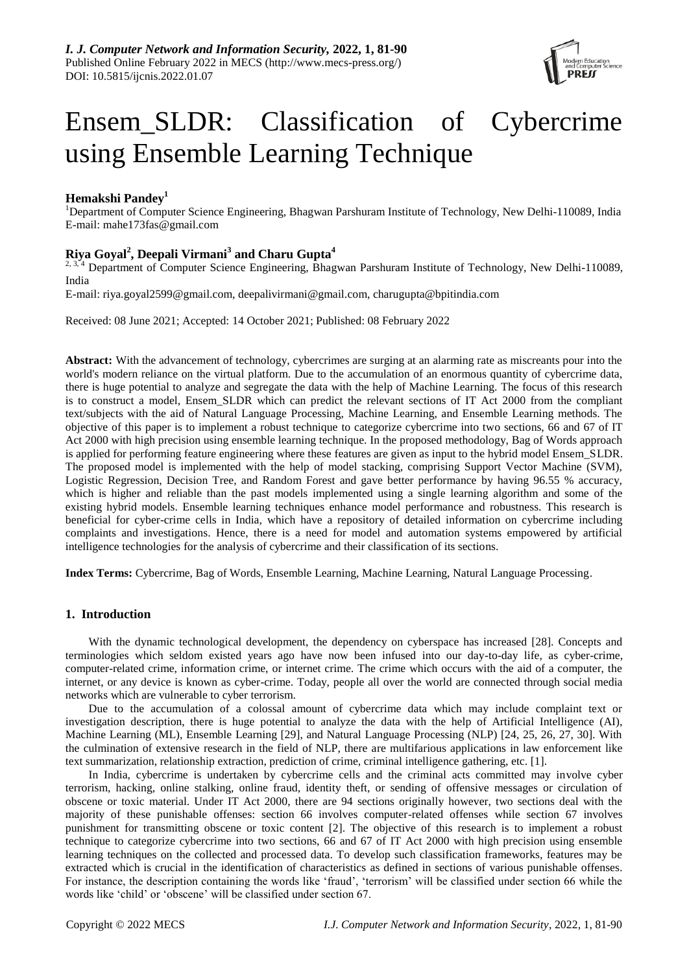

# Ensem\_SLDR: Classification of Cybercrime using Ensemble Learning Technique

# **Hemakshi Pandey<sup>1</sup>**

<sup>1</sup>Department of Computer Science Engineering, Bhagwan Parshuram Institute of Technology, New Delhi-110089, India E-mail: [mahe173fas@gmail.com](mailto:mahe173fas@gmail.com)

# **Riya Goyal<sup>2</sup> , Deepali Virmani<sup>3</sup> and Charu Gupta<sup>4</sup>**

<sup>2, 3, 4</sup> Department of Computer Science Engineering, Bhagwan Parshuram Institute of Technology, New Delhi-110089, India

E-mail: riya.goyal2599@gmail.com, deepalivirmani@gmail.com, charugupta@bpitindia.com

Received: 08 June 2021; Accepted: 14 October 2021; Published: 08 February 2022

**Abstract:** With the advancement of technology, cybercrimes are surging at an alarming rate as miscreants pour into the world's modern reliance on the virtual platform. Due to the accumulation of an enormous quantity of cybercrime data, there is huge potential to analyze and segregate the data with the help of Machine Learning. The focus of this research is to construct a model, Ensem SLDR which can predict the relevant sections of IT Act 2000 from the compliant text/subjects with the aid of Natural Language Processing, Machine Learning, and Ensemble Learning methods. The objective of this paper is to implement a robust technique to categorize cybercrime into two sections, 66 and 67 of IT Act 2000 with high precision using ensemble learning technique. In the proposed methodology, Bag of Words approach is applied for performing feature engineering where these features are given as input to the hybrid model Ensem\_SLDR. The proposed model is implemented with the help of model stacking, comprising Support Vector Machine (SVM), Logistic Regression, Decision Tree, and Random Forest and gave better performance by having 96.55 % accuracy, which is higher and reliable than the past models implemented using a single learning algorithm and some of the existing hybrid models. Ensemble learning techniques enhance model performance and robustness. This research is beneficial for cyber-crime cells in India, which have a repository of detailed information on cybercrime including complaints and investigations. Hence, there is a need for model and automation systems empowered by artificial intelligence technologies for the analysis of cybercrime and their classification of its sections.

**Index Terms:** Cybercrime, Bag of Words, Ensemble Learning, Machine Learning, Natural Language Processing.

# **1. Introduction**

With the dynamic technological development, the dependency on cyberspace has increased [28]. Concepts and terminologies which seldom existed years ago have now been infused into our day-to-day life, as cyber-crime, computer-related crime, information crime, or internet crime. The crime which occurs with the aid of a computer, the internet, or any device is known as cyber-crime. Today, people all over the world are connected through social media networks which are vulnerable to cyber terrorism.

Due to the accumulation of a colossal amount of cybercrime data which may include complaint text or investigation description, there is huge potential to analyze the data with the help of Artificial Intelligence (AI), Machine Learning (ML), Ensemble Learning [29], and Natural Language Processing (NLP) [24, 25, 26, 27, 30]. With the culmination of extensive research in the field of NLP, there are multifarious applications in law enforcement like text summarization, relationship extraction, prediction of crime, criminal intelligence gathering, etc. [1].

In India, cybercrime is undertaken by cybercrime cells and the criminal acts committed may involve cyber terrorism, hacking, online stalking, online fraud, identity theft, or sending of offensive messages or circulation of obscene or toxic material. Under IT Act 2000, there are 94 sections originally however, two sections deal with the majority of these punishable offenses: section 66 involves computer-related offenses while section 67 involves punishment for transmitting obscene or toxic content [2]. The objective of this research is to implement a robust technique to categorize cybercrime into two sections, 66 and 67 of IT Act 2000 with high precision using ensemble learning techniques on the collected and processed data. To develop such classification frameworks, features may be extracted which is crucial in the identification of characteristics as defined in sections of various punishable offenses. For instance, the description containing the words like 'fraud', 'terrorism' will be classified under section 66 while the words like 'child' or 'obscene' will be classified under section 67.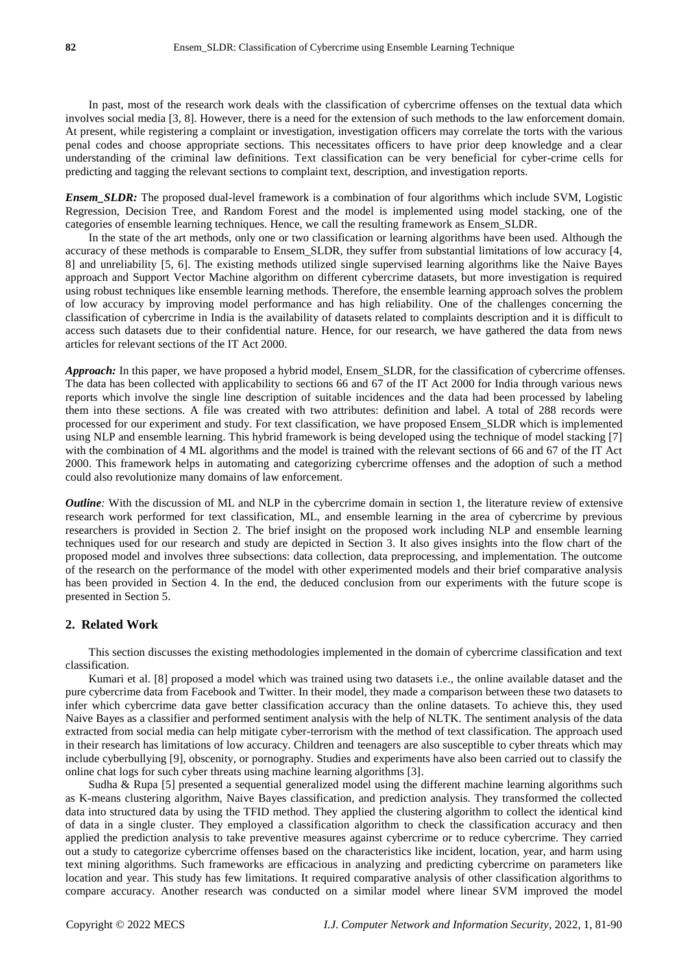In past, most of the research work deals with the classification of cybercrime offenses on the textual data which involves social media [3, 8]. However, there is a need for the extension of such methods to the law enforcement domain. At present, while registering a complaint or investigation, investigation officers may correlate the torts with the various penal codes and choose appropriate sections. This necessitates officers to have prior deep knowledge and a clear understanding of the criminal law definitions. Text classification can be very beneficial for cyber-crime cells for predicting and tagging the relevant sections to complaint text, description, and investigation reports.

*Ensem SLDR:* The proposed dual-level framework is a combination of four algorithms which include SVM, Logistic Regression, Decision Tree, and Random Forest and the model is implemented using model stacking, one of the categories of ensemble learning techniques. Hence, we call the resulting framework as Ensem\_SLDR.

In the state of the art methods, only one or two classification or learning algorithms have been used. Although the accuracy of these methods is comparable to Ensem\_SLDR, they suffer from substantial limitations of low accuracy [4, 8] and unreliability [5, 6]. The existing methods utilized single supervised learning algorithms like the Naive Bayes approach and Support Vector Machine algorithm on different cybercrime datasets, but more investigation is required using robust techniques like ensemble learning methods. Therefore, the ensemble learning approach solves the problem of low accuracy by improving model performance and has high reliability. One of the challenges concerning the classification of cybercrime in India is the availability of datasets related to complaints description and it is difficult to access such datasets due to their confidential nature. Hence, for our research, we have gathered the data from news articles for relevant sections of the IT Act 2000.

*Approach:* In this paper, we have proposed a hybrid model, Ensem\_SLDR, for the classification of cybercrime offenses. The data has been collected with applicability to sections 66 and 67 of the IT Act 2000 for India through various news reports which involve the single line description of suitable incidences and the data had been processed by labeling them into these sections. A file was created with two attributes: definition and label. A total of 288 records were processed for our experiment and study. For text classification, we have proposed Ensem\_SLDR which is implemented using NLP and ensemble learning. This hybrid framework is being developed using the technique of model stacking [7] with the combination of 4 ML algorithms and the model is trained with the relevant sections of 66 and 67 of the IT Act 2000. This framework helps in automating and categorizing cybercrime offenses and the adoption of such a method could also revolutionize many domains of law enforcement.

*Outline*: With the discussion of ML and NLP in the cybercrime domain in section 1, the literature review of extensive research work performed for text classification, ML, and ensemble learning in the area of cybercrime by previous researchers is provided in Section 2. The brief insight on the proposed work including NLP and ensemble learning techniques used for our research and study are depicted in Section 3. It also gives insights into the flow chart of the proposed model and involves three subsections: data collection, data preprocessing, and implementation. The outcome of the research on the performance of the model with other experimented models and their brief comparative analysis has been provided in Section 4. In the end, the deduced conclusion from our experiments with the future scope is presented in Section 5.

## **2. Related Work**

This section discusses the existing methodologies implemented in the domain of cybercrime classification and text classification.

Kumari et al. [8] proposed a model which was trained using two datasets i.e., the online available dataset and the pure cybercrime data from Facebook and Twitter. In their model, they made a comparison between these two datasets to infer which cybercrime data gave better classification accuracy than the online datasets. To achieve this, they used Naive Bayes as a classifier and performed sentiment analysis with the help of NLTK. The sentiment analysis of the data extracted from social media can help mitigate cyber-terrorism with the method of text classification. The approach used in their research has limitations of low accuracy. Children and teenagers are also susceptible to cyber threats which may include cyberbullying [9], obscenity, or pornography. Studies and experiments have also been carried out to classify the online chat logs for such cyber threats using machine learning algorithms [3].

Sudha & Rupa [5] presented a sequential generalized model using the different machine learning algorithms such as K-means clustering algorithm, Naive Bayes classification, and prediction analysis. They transformed the collected data into structured data by using the TFID method. They applied the clustering algorithm to collect the identical kind of data in a single cluster. They employed a classification algorithm to check the classification accuracy and then applied the prediction analysis to take preventive measures against cybercrime or to reduce cybercrime. They carried out a study to categorize cybercrime offenses based on the characteristics like incident, location, year, and harm using text mining algorithms. Such frameworks are efficacious in analyzing and predicting cybercrime on parameters like location and year. This study has few limitations. It required comparative analysis of other classification algorithms to compare accuracy. Another research was conducted on a similar model where linear SVM improved the model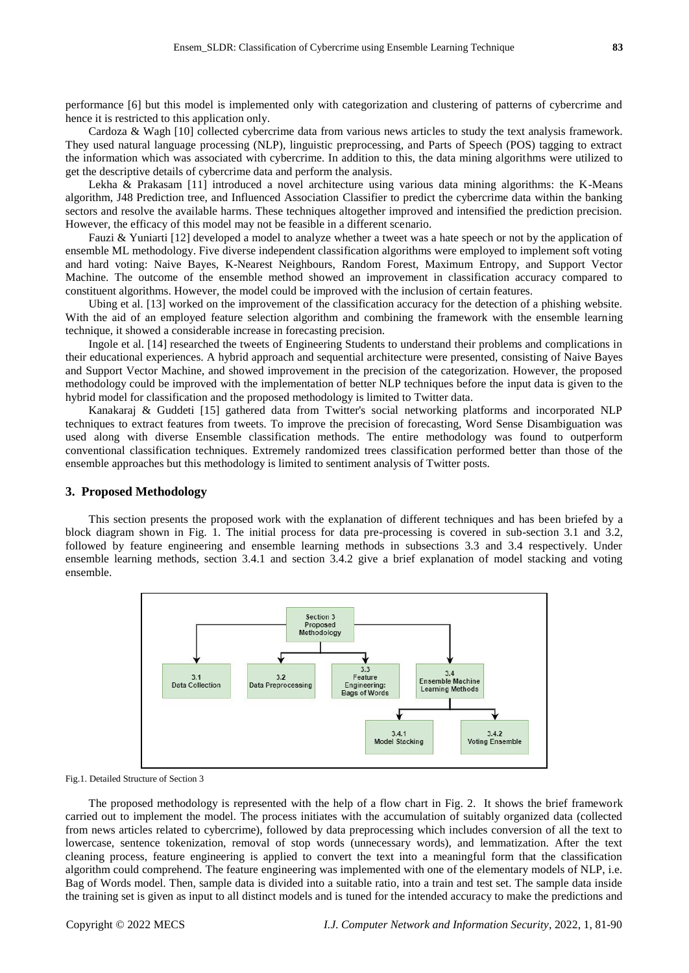performance [6] but this model is implemented only with categorization and clustering of patterns of cybercrime and hence it is restricted to this application only.

Cardoza & Wagh [10] collected cybercrime data from various news articles to study the text analysis framework. They used natural language processing (NLP), linguistic preprocessing, and Parts of Speech (POS) tagging to extract the information which was associated with cybercrime. In addition to this, the data mining algorithms were utilized to get the descriptive details of cybercrime data and perform the analysis.

Lekha & Prakasam [11] introduced a novel architecture using various data mining algorithms: the K-Means algorithm, J48 Prediction tree, and Influenced Association Classifier to predict the cybercrime data within the banking sectors and resolve the available harms. These techniques altogether improved and intensified the prediction precision. However, the efficacy of this model may not be feasible in a different scenario.

Fauzi & Yuniarti [12] developed a model to analyze whether a tweet was a hate speech or not by the application of ensemble ML methodology. Five diverse independent classification algorithms were employed to implement soft voting and hard voting: Naive Bayes, K-Nearest Neighbours, Random Forest, Maximum Entropy, and Support Vector Machine. The outcome of the ensemble method showed an improvement in classification accuracy compared to constituent algorithms. However, the model could be improved with the inclusion of certain features.

Ubing et al. [13] worked on the improvement of the classification accuracy for the detection of a phishing website. With the aid of an employed feature selection algorithm and combining the framework with the ensemble learning technique, it showed a considerable increase in forecasting precision.

Ingole et al. [14] researched the tweets of Engineering Students to understand their problems and complications in their educational experiences. A hybrid approach and sequential architecture were presented, consisting of Naive Bayes and Support Vector Machine, and showed improvement in the precision of the categorization. However, the proposed methodology could be improved with the implementation of better NLP techniques before the input data is given to the hybrid model for classification and the proposed methodology is limited to Twitter data.

Kanakaraj & Guddeti [15] gathered data from Twitter's social networking platforms and incorporated NLP techniques to extract features from tweets. To improve the precision of forecasting, Word Sense Disambiguation was used along with diverse Ensemble classification methods. The entire methodology was found to outperform conventional classification techniques. Extremely randomized trees classification performed better than those of the ensemble approaches but this methodology is limited to sentiment analysis of Twitter posts.

#### **3. Proposed Methodology**

This section presents the proposed work with the explanation of different techniques and has been briefed by a block diagram shown in Fig. 1. The initial process for data pre-processing is covered in sub-section 3.1 and 3.2, followed by feature engineering and ensemble learning methods in subsections 3.3 and 3.4 respectively. Under ensemble learning methods, section 3.4.1 and section 3.4.2 give a brief explanation of model stacking and voting ensemble.



Fig.1. Detailed Structure of Section 3

The proposed methodology is represented with the help of a flow chart in Fig. 2. It shows the brief framework carried out to implement the model. The process initiates with the accumulation of suitably organized data (collected from news articles related to cybercrime), followed by data preprocessing which includes conversion of all the text to lowercase, sentence tokenization, removal of stop words (unnecessary words), and lemmatization. After the text cleaning process, feature engineering is applied to convert the text into a meaningful form that the classification algorithm could comprehend. The feature engineering was implemented with one of the elementary models of NLP, i.e. Bag of Words model. Then, sample data is divided into a suitable ratio, into a train and test set. The sample data inside the training set is given as input to all distinct models and is tuned for the intended accuracy to make the predictions and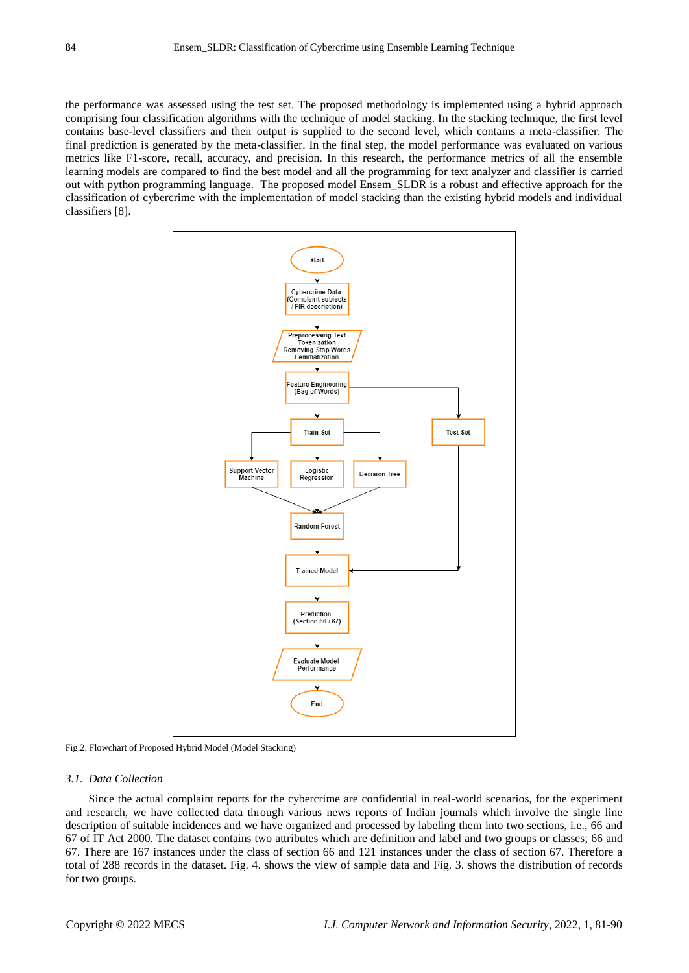the performance was assessed using the test set. The proposed methodology is implemented using a hybrid approach comprising four classification algorithms with the technique of model stacking. In the stacking technique, the first level contains base-level classifiers and their output is supplied to the second level, which contains a meta-classifier. The final prediction is generated by the meta-classifier. In the final step, the model performance was evaluated on various metrics like F1-score, recall, accuracy, and precision. In this research, the performance metrics of all the ensemble learning models are compared to find the best model and all the programming for text analyzer and classifier is carried out with python programming language. The proposed model Ensem\_SLDR is a robust and effective approach for the classification of cybercrime with the implementation of model stacking than the existing hybrid models and individual classifiers [8].



Fig.2. Flowchart of Proposed Hybrid Model (Model Stacking)

#### *3.1. Data Collection*

Since the actual complaint reports for the cybercrime are confidential in real-world scenarios, for the experiment and research, we have collected data through various news reports of Indian journals which involve the single line description of suitable incidences and we have organized and processed by labeling them into two sections, i.e., 66 and 67 of IT Act 2000. The dataset contains two attributes which are definition and label and two groups or classes; 66 and 67. There are 167 instances under the class of section 66 and 121 instances under the class of section 67. Therefore a total of 288 records in the dataset. Fig. 4. shows the view of sample data and Fig. 3. shows the distribution of records for two groups.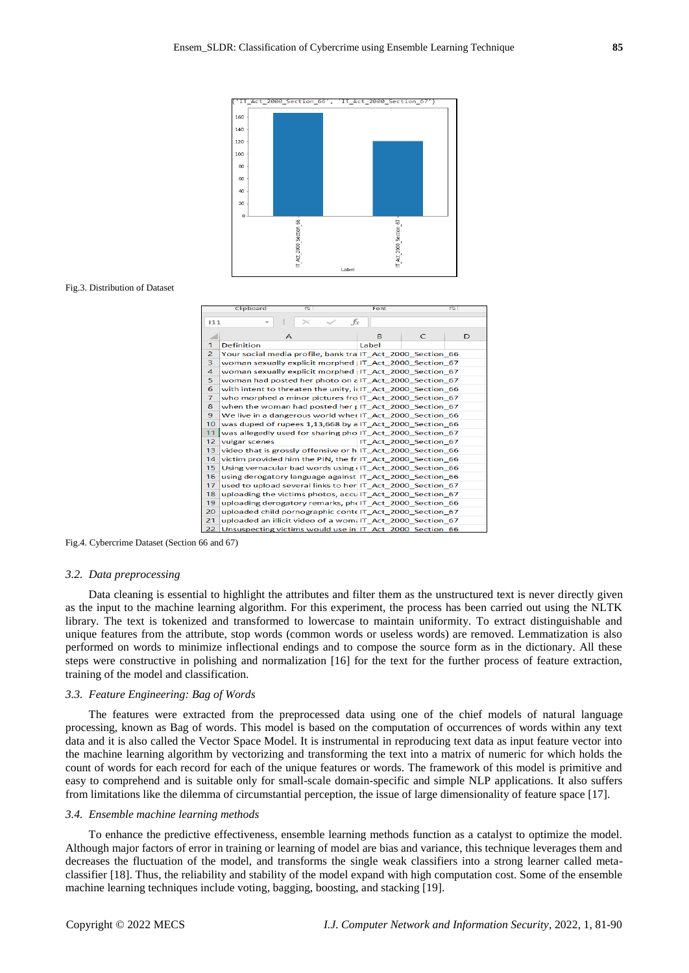

#### Fig.3. Distribution of Dataset

|                | Clipboard<br>$\overline{\sim}$                               | Font         |                        | $\overline{\infty}$ |
|----------------|--------------------------------------------------------------|--------------|------------------------|---------------------|
| 111            | fx                                                           |              |                        |                     |
|                |                                                              |              |                        |                     |
|                | A                                                            | <sub>R</sub> | C                      | D                   |
| $\mathbf{1}$   | <b>Definition</b>                                            | Label        |                        |                     |
| $\overline{2}$ | Your social media profile, bank tra IT Act 2000 Section 66   |              |                        |                     |
| 3              | woman sexually explicit morphed   IT_Act_2000_Section_67     |              |                        |                     |
| 4              | woman sexually explicit morphed IT Act 2000 Section 67       |              |                        |                     |
| 5              | woman had posted her photo on aIT Act 2000 Section 67        |              |                        |                     |
| 6              | with intent to threaten the unity, in IT Act 2000 Section 66 |              |                        |                     |
| $\overline{7}$ | who morphed a minor pictures fro IT Act 2000 Section 67      |              |                        |                     |
| 8              | when the woman had posted her r IT_Act_2000_Section_67       |              |                        |                     |
| 9              | We live in a dangerous world when IT Act 2000 Section 66     |              |                        |                     |
| 10             | was duped of rupees 1,13,668 by a IT Act 2000 Section 66     |              |                        |                     |
| 11             | was allegedly used for sharing pho IT Act 2000 Section 67    |              |                        |                     |
| 12             | vulgar scenes                                                |              | IT Act 2000 Section 67 |                     |
| 13             | video that is grossly offensive or h IT Act 2000 Section 66  |              |                        |                     |
| 14             | victim provided him the PIN, the fr IT Act 2000 Section 66   |              |                        |                     |
| 15             | Using vernacular bad words using (IT Act 2000 Section 66     |              |                        |                     |
| 16             | using derogatory language against IT_Act_2000 Section 66     |              |                        |                     |
| 17             | used to upload several links to her IT Act 2000 Section 67   |              |                        |                     |
| 18             | uploading the victims photos, acculT Act 2000 Section 67     |              |                        |                     |
| 19             | uploading derogatory remarks, pheIT Act 2000 Section 66      |              |                        |                     |
| 20             | uploaded child pornographic contelT Act 2000 Section 67      |              |                        |                     |
| 21             | uploaded an illicit video of a wom. IT_Act_2000_Section_67   |              |                        |                     |
| 22             | Unsuspecting victims would use in IT Act 2000 Section 66     |              |                        |                     |

Fig.4. Cybercrime Dataset (Section 66 and 67)

#### *3.2. Data preprocessing*

Data cleaning is essential to highlight the attributes and filter them as the unstructured text is never directly given as the input to the machine learning algorithm. For this experiment, the process has been carried out using the NLTK library. The text is tokenized and transformed to lowercase to maintain uniformity. To extract distinguishable and unique features from the attribute, stop words (common words or useless words) are removed. Lemmatization is also performed on words to minimize inflectional endings and to compose the source form as in the dictionary. All these steps were constructive in polishing and normalization [16] for the text for the further process of feature extraction, training of the model and classification.

#### *3.3. Feature Engineering: Bag of Words*

The features were extracted from the preprocessed data using one of the chief models of natural language processing, known as Bag of words. This model is based on the computation of occurrences of words within any text data and it is also called the Vector Space Model. It is instrumental in reproducing text data as input feature vector into the machine learning algorithm by vectorizing and transforming the text into a matrix of numeric for which holds the count of words for each record for each of the unique features or words. The framework of this model is primitive and easy to comprehend and is suitable only for small-scale domain-specific and simple NLP applications. It also suffers from limitations like the dilemma of circumstantial perception, the issue of large dimensionality of feature space [17].

#### *3.4. Ensemble machine learning methods*

To enhance the predictive effectiveness, ensemble learning methods function as a catalyst to optimize the model. Although major factors of error in training or learning of model are bias and variance, this technique leverages them and decreases the fluctuation of the model, and transforms the single weak classifiers into a strong learner called metaclassifier [18]. Thus, the reliability and stability of the model expand with high computation cost. Some of the ensemble machine learning techniques include voting, bagging, boosting, and stacking [19].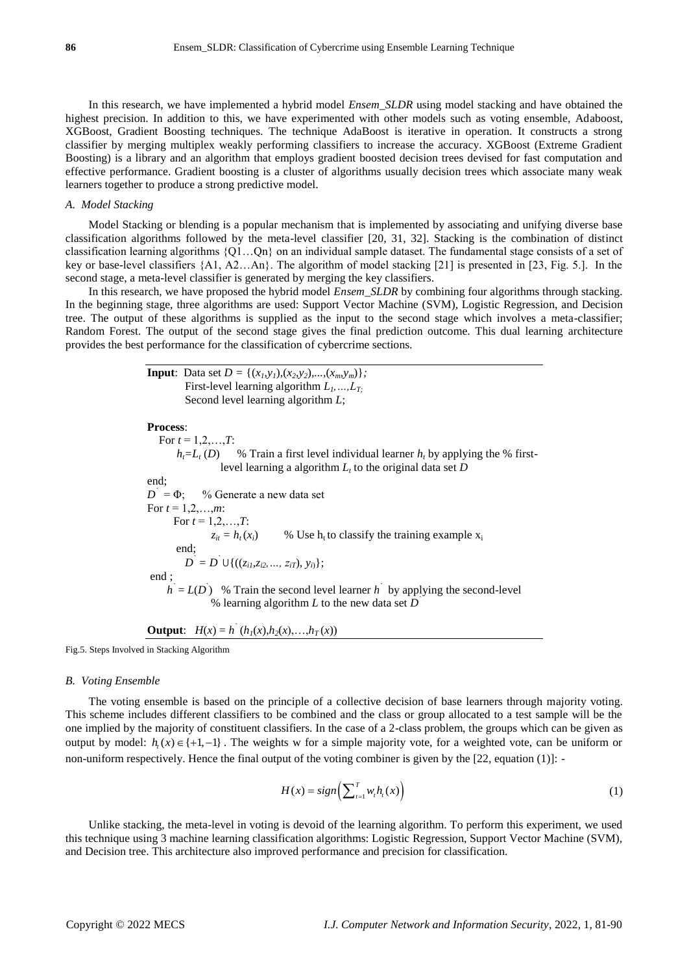In this research, we have implemented a hybrid model *Ensem\_SLDR* using model stacking and have obtained the highest precision. In addition to this, we have experimented with other models such as voting ensemble, Adaboost, XGBoost, Gradient Boosting techniques. The technique AdaBoost is iterative in operation. It constructs a strong classifier by merging multiplex weakly performing classifiers to increase the accuracy. XGBoost (Extreme Gradient Boosting) is a library and an algorithm that employs gradient boosted decision trees devised for fast computation and effective performance. Gradient boosting is a cluster of algorithms usually decision trees which associate many weak learners together to produce a strong predictive model.

#### *A. Model Stacking*

Model Stacking or blending is a popular mechanism that is implemented by associating and unifying diverse base classification algorithms followed by the meta-level classifier [20, 31, 32]. Stacking is the combination of distinct classification learning algorithms {Q1…Qn} on an individual sample dataset. The fundamental stage consists of a set of key or base-level classifiers {A1, A2…An}. The algorithm of model stacking [21] is presented in [23, Fig. 5.]. In the second stage, a meta-level classifier is generated by merging the key classifiers.

In this research, we have proposed the hybrid model *Ensem SLDR* by combining four algorithms through stacking. In the beginning stage, three algorithms are used: Support Vector Machine (SVM), Logistic Regression, and Decision tree. The output of these algorithms is supplied as the input to the second stage which involves a meta-classifier; Random Forest. The output of the second stage gives the final prediction outcome. This dual learning architecture provides the best performance for the classification of cybercrime sections.

> **Input**: Data set  $D = \{(x_1, y_1), (x_2, y_2), ..., (x_m, y_m)\};$  First-level learning algorithm *L1,…,LT;* Second level learning algorithm *L*; **Process**: For  $t = 1, 2, ..., T$ :  $h<sub>i</sub>=L<sub>t</sub>(D)$  % Train a first level individual learner *h*<sub>t</sub> by applying the % firstlevel learning a algorithm *L<sup>t</sup>* to the original data set *D* end; *D `* % Generate a new data set For  $t = 1, 2, ..., m$ : For  $t = 1, 2, ..., T$ :  $z_{it} = h_t(x_i)$  % Use h<sub>t</sub> to classify the training example  $x_i$  end;  $D^{\text{`}} = D^{\text{`}} \cup \{((z_{i1}, z_{i2}, ..., z_{iT}), y_{i})\};$ end ;  $h = L(D)$  % Train the second level learner *h*<sup>'</sup> by applying the second-level % learning algorithm *L* to the new data set  $\overrightarrow{D}$

**Output:** 
$$
H(x) = h'(h_1(x), h_2(x),..., h_T(x))
$$

Fig.5. Steps Involved in Stacking Algorithm

#### *B. Voting Ensemble*

The voting ensemble is based on the principle of a collective decision of base learners through majority voting. This scheme includes different classifiers to be combined and the class or group allocated to a test sample will be the one implied by the majority of constituent classifiers. In the case of a 2-class problem, the groups which can be given as output by model:  $h_i(x) \in \{+1, -1\}$ . The weights w for a simple majority vote, for a weighted vote, can be uniform or non-uniform respectively. Hence the final output of the voting combiner is given by the [22, equation (1)]:

$$
H(x) = sign\left(\sum_{t=1}^{T} w_t h_t(x)\right) \tag{1}
$$

Unlike stacking, the meta-level in voting is devoid of the learning algorithm. To perform this experiment, we used this technique using 3 machine learning classification algorithms: Logistic Regression, Support Vector Machine (SVM), and Decision tree. This architecture also improved performance and precision for classification.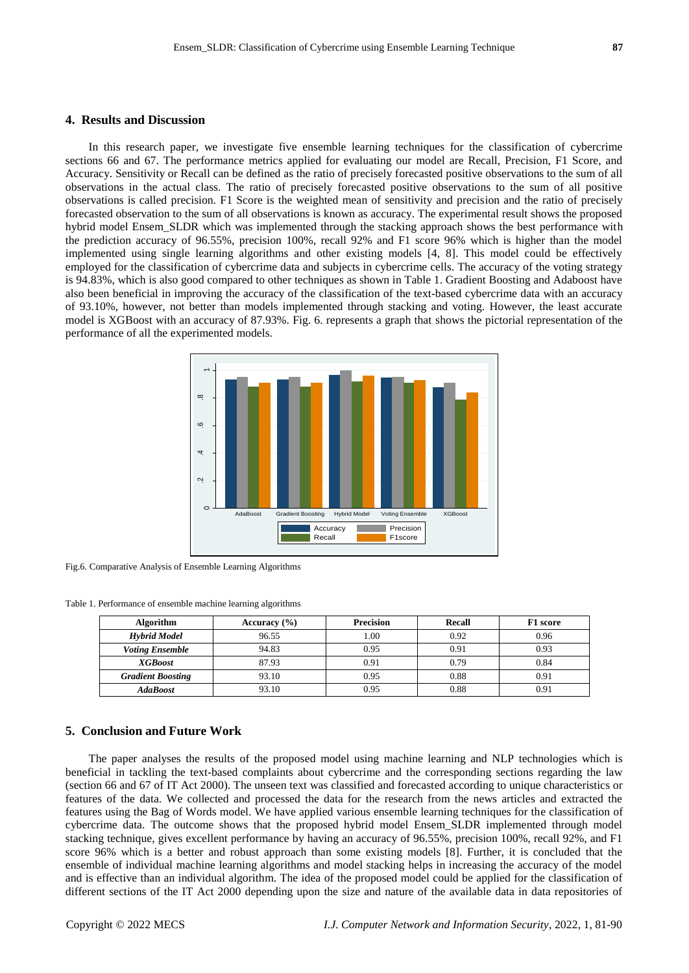### **4. Results and Discussion**

In this research paper, we investigate five ensemble learning techniques for the classification of cybercrime sections 66 and 67. The performance metrics applied for evaluating our model are Recall, Precision, F1 Score, and Accuracy. Sensitivity or Recall can be defined as the ratio of precisely forecasted positive observations to the sum of all observations in the actual class. The ratio of precisely forecasted positive observations to the sum of all positive observations is called precision. F1 Score is the weighted mean of sensitivity and precision and the ratio of precisely forecasted observation to the sum of all observations is known as accuracy. The experimental result shows the proposed hybrid model Ensem\_SLDR which was implemented through the stacking approach shows the best performance with the prediction accuracy of 96.55%, precision 100%, recall 92% and F1 score 96% which is higher than the model implemented using single learning algorithms and other existing models [4, 8]. This model could be effectively employed for the classification of cybercrime data and subjects in cybercrime cells. The accuracy of the voting strategy is 94.83%, which is also good compared to other techniques as shown in Table 1. Gradient Boosting and Adaboost have also been beneficial in improving the accuracy of the classification of the text-based cybercrime data with an accuracy of 93.10%, however, not better than models implemented through stacking and voting. However, the least accurate model is XGBoost with an accuracy of 87.93%. Fig. 6. represents a graph that shows the pictorial representation of the performance of all the experimented models.



Fig.6. Comparative Analysis of Ensemble Learning Algorithms

Table 1. Performance of ensemble machine learning algorithms

| <b>Algorithm</b>         | Accuracy $(\% )$ | <b>Precision</b> | Recall | F1 score |
|--------------------------|------------------|------------------|--------|----------|
| <b>Hybrid Model</b>      | 96.55            | 1.00             | 0.92   | 0.96     |
| <b>Voting Ensemble</b>   | 94.83            | 0.95             | 0.91   | 0.93     |
| <b>XGBoost</b>           | 87.93            | 0.91             | 0.79   | 0.84     |
| <b>Gradient Boosting</b> | 93.10            | 0.95             | 0.88   | 0.91     |
| <b>AdaBoost</b>          | 93.10            | 0.95             | 0.88   | 0.91     |

## **5. Conclusion and Future Work**

The paper analyses the results of the proposed model using machine learning and NLP technologies which is beneficial in tackling the text-based complaints about cybercrime and the corresponding sections regarding the law (section 66 and 67 of IT Act 2000). The unseen text was classified and forecasted according to unique characteristics or features of the data. We collected and processed the data for the research from the news articles and extracted the features using the Bag of Words model. We have applied various ensemble learning techniques for the classification of cybercrime data. The outcome shows that the proposed hybrid model Ensem\_SLDR implemented through model stacking technique, gives excellent performance by having an accuracy of 96.55%, precision 100%, recall 92%, and F1 score 96% which is a better and robust approach than some existing models [8]. Further, it is concluded that the ensemble of individual machine learning algorithms and model stacking helps in increasing the accuracy of the model and is effective than an individual algorithm. The idea of the proposed model could be applied for the classification of different sections of the IT Act 2000 depending upon the size and nature of the available data in data repositories of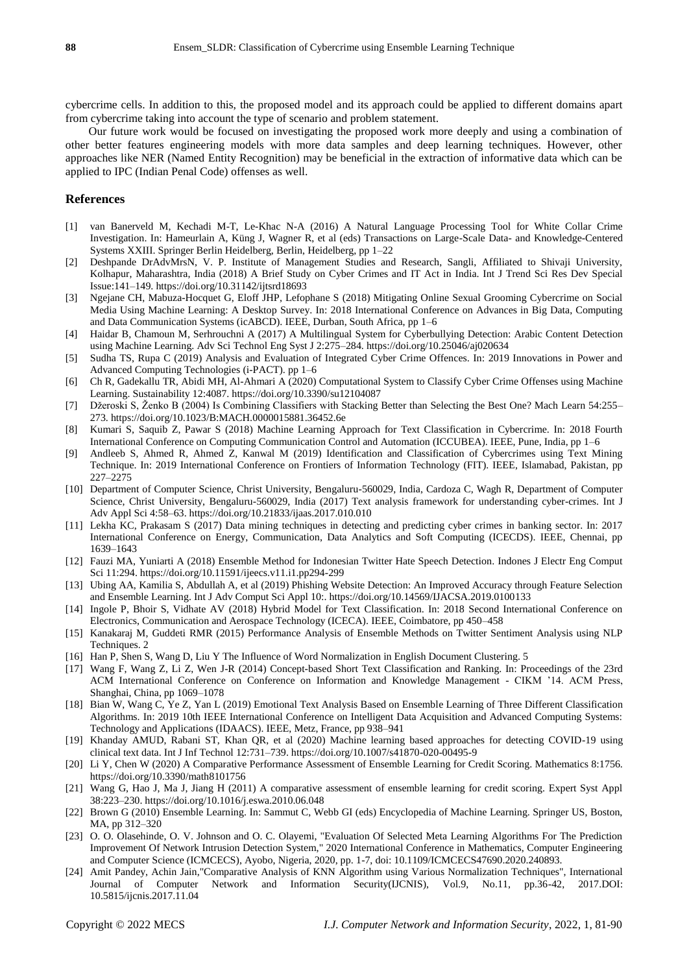cybercrime cells. In addition to this, the proposed model and its approach could be applied to different domains apart from cybercrime taking into account the type of scenario and problem statement.

Our future work would be focused on investigating the proposed work more deeply and using a combination of other better features engineering models with more data samples and deep learning techniques. However, other approaches like NER (Named Entity Recognition) may be beneficial in the extraction of informative data which can be applied to IPC (Indian Penal Code) offenses as well.

## **References**

- [1] van Banerveld M, Kechadi M-T, Le-Khac N-A (2016) A Natural Language Processing Tool for White Collar Crime Investigation. In: Hameurlain A, Küng J, Wagner R, et al (eds) Transactions on Large-Scale Data- and Knowledge-Centered Systems XXIII. Springer Berlin Heidelberg, Berlin, Heidelberg, pp 1–22
- [2] Deshpande DrAdvMrsN, V. P. Institute of Management Studies and Research, Sangli, Affiliated to Shivaji University, Kolhapur, Maharashtra, India (2018) A Brief Study on Cyber Crimes and IT Act in India. Int J Trend Sci Res Dev Special Issue:141–149. https://doi.org/10.31142/ijtsrd18693
- [3] Ngejane CH, Mabuza-Hocquet G, Eloff JHP, Lefophane S (2018) Mitigating Online Sexual Grooming Cybercrime on Social Media Using Machine Learning: A Desktop Survey. In: 2018 International Conference on Advances in Big Data, Computing and Data Communication Systems (icABCD). IEEE, Durban, South Africa, pp 1–6
- [4] Haidar B, Chamoun M, Serhrouchni A (2017) A Multilingual System for Cyberbullying Detection: Arabic Content Detection using Machine Learning. Adv Sci Technol Eng Syst J 2:275–284. https://doi.org/10.25046/aj020634
- [5] Sudha TS, Rupa C (2019) Analysis and Evaluation of Integrated Cyber Crime Offences. In: 2019 Innovations in Power and Advanced Computing Technologies (i-PACT). pp 1–6
- [6] Ch R, Gadekallu TR, Abidi MH, Al-Ahmari A (2020) Computational System to Classify Cyber Crime Offenses using Machine Learning. Sustainability 12:4087. https://doi.org/10.3390/su12104087
- [7] Džeroski S, Ženko B (2004) Is Combining Classifiers with Stacking Better than Selecting the Best One? Mach Learn 54:255– 273. https://doi.org/10.1023/B:MACH.0000015881.36452.6e
- [8] Kumari S, Saquib Z, Pawar S (2018) Machine Learning Approach for Text Classification in Cybercrime. In: 2018 Fourth International Conference on Computing Communication Control and Automation (ICCUBEA). IEEE, Pune, India, pp 1–6
- [9] Andleeb S, Ahmed R, Ahmed Z, Kanwal M (2019) Identification and Classification of Cybercrimes using Text Mining Technique. In: 2019 International Conference on Frontiers of Information Technology (FIT). IEEE, Islamabad, Pakistan, pp 227–2275
- [10] Department of Computer Science, Christ University, Bengaluru-560029, India, Cardoza C, Wagh R, Department of Computer Science, Christ University, Bengaluru-560029, India (2017) Text analysis framework for understanding cyber-crimes. Int J Adv Appl Sci 4:58–63. https://doi.org/10.21833/ijaas.2017.010.010
- [11] Lekha KC, Prakasam S (2017) Data mining techniques in detecting and predicting cyber crimes in banking sector. In: 2017 International Conference on Energy, Communication, Data Analytics and Soft Computing (ICECDS). IEEE, Chennai, pp 1639–1643
- [12] Fauzi MA, Yuniarti A (2018) Ensemble Method for Indonesian Twitter Hate Speech Detection. Indones J Electr Eng Comput Sci 11:294. https://doi.org/10.11591/ijeecs.v11.i1.pp294-299
- [13] Ubing AA, Kamilia S, Abdullah A, et al (2019) Phishing Website Detection: An Improved Accuracy through Feature Selection and Ensemble Learning. Int J Adv Comput Sci Appl 10:. https://doi.org/10.14569/IJACSA.2019.0100133
- [14] Ingole P, Bhoir S, Vidhate AV (2018) Hybrid Model for Text Classification. In: 2018 Second International Conference on Electronics, Communication and Aerospace Technology (ICECA). IEEE, Coimbatore, pp 450–458
- [15] Kanakaraj M, Guddeti RMR (2015) Performance Analysis of Ensemble Methods on Twitter Sentiment Analysis using NLP Techniques. 2
- [16] Han P, Shen S, Wang D, Liu Y The Influence of Word Normalization in English Document Clustering. 5
- [17] Wang F, Wang Z, Li Z, Wen J-R (2014) Concept-based Short Text Classification and Ranking. In: Proceedings of the 23rd ACM International Conference on Conference on Information and Knowledge Management - CIKM '14. ACM Press, Shanghai, China, pp 1069–1078
- [18] Bian W, Wang C, Ye Z, Yan L (2019) Emotional Text Analysis Based on Ensemble Learning of Three Different Classification Algorithms. In: 2019 10th IEEE International Conference on Intelligent Data Acquisition and Advanced Computing Systems: Technology and Applications (IDAACS). IEEE, Metz, France, pp 938–941
- [19] Khanday AMUD, Rabani ST, Khan QR, et al (2020) Machine learning based approaches for detecting COVID-19 using clinical text data. Int J Inf Technol 12:731–739. https://doi.org/10.1007/s41870-020-00495-9
- [20] Li Y, Chen W (2020) A Comparative Performance Assessment of Ensemble Learning for Credit Scoring. Mathematics 8:1756. https://doi.org/10.3390/math8101756
- [21] Wang G, Hao J, Ma J, Jiang H (2011) A comparative assessment of ensemble learning for credit scoring. Expert Syst Appl 38:223–230. https://doi.org/10.1016/j.eswa.2010.06.048
- [22] Brown G (2010) Ensemble Learning. In: Sammut C, Webb GI (eds) Encyclopedia of Machine Learning. Springer US, Boston, MA, pp 312–320
- [23] O. O. Olasehinde, O. V. Johnson and O. C. Olayemi, "Evaluation Of Selected Meta Learning Algorithms For The Prediction Improvement Of Network Intrusion Detection System," 2020 International Conference in Mathematics, Computer Engineering and Computer Science (ICMCECS), Ayobo, Nigeria, 2020, pp. 1-7, doi: 10.1109/ICMCECS47690.2020.240893.
- [24] Amit Pandey, Achin Jain,"Comparative Analysis of KNN Algorithm using Various Normalization Techniques", International Journal of Computer Network and Information Security(IJCNIS), Vol.9, No.11, pp.36-42, 2017.DOI: 10.5815/ijcnis.2017.11.04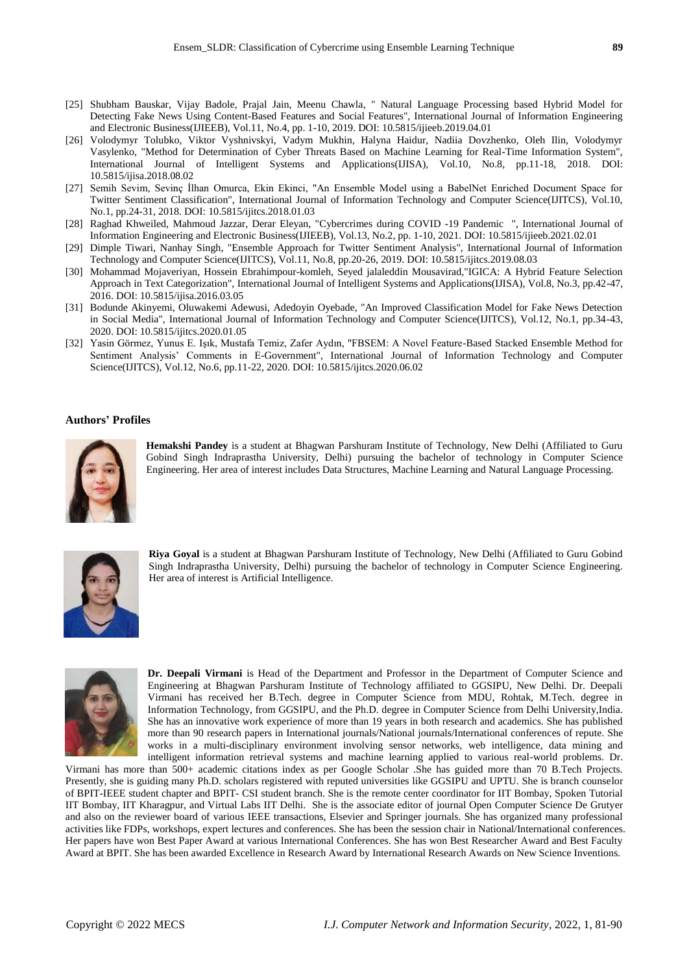- [25] Shubham Bauskar, Vijay Badole, Prajal Jain, Meenu Chawla, " Natural Language Processing based Hybrid Model for Detecting Fake News Using Content-Based Features and Social Features", International Journal of Information Engineering and Electronic Business(IJIEEB), Vol.11, No.4, pp. 1-10, 2019. DOI: 10.5815/ijieeb.2019.04.01
- [26] Volodymyr Tolubko, Viktor Vyshnivskyi, Vadym Mukhin, Halyna Haidur, Nadiia Dovzhenko, Oleh Ilin, Volodymyr Vasylenko, "Method for Determination of Cyber Threats Based on Machine Learning for Real-Time Information System", International Journal of Intelligent Systems and Applications(IJISA), Vol.10, No.8, pp.11-18, 2018. DOI: 10.5815/ijisa.2018.08.02
- [27] Semih Sevim, Sevinç İlhan Omurca, Ekin Ekinci, "An Ensemble Model using a BabelNet Enriched Document Space for Twitter Sentiment Classification", International Journal of Information Technology and Computer Science(IJITCS), Vol.10, No.1, pp.24-31, 2018. DOI: 10.5815/ijitcs.2018.01.03
- [28] Raghad Khweiled, Mahmoud Jazzar, Derar Eleyan, "Cybercrimes during COVID -19 Pandemic ", International Journal of Information Engineering and Electronic Business(IJIEEB), Vol.13, No.2, pp. 1-10, 2021. DOI: 10.5815/ijieeb.2021.02.01
- [29] Dimple Tiwari, Nanhay Singh, "Ensemble Approach for Twitter Sentiment Analysis", International Journal of Information Technology and Computer Science(IJITCS), Vol.11, No.8, pp.20-26, 2019. DOI: 10.5815/ijitcs.2019.08.03
- [30] Mohammad Mojaveriyan, Hossein Ebrahimpour-komleh, Seyed jalaleddin Mousavirad,"IGICA: A Hybrid Feature Selection Approach in Text Categorization", International Journal of Intelligent Systems and Applications(IJISA), Vol.8, No.3, pp.42-47, 2016. DOI: 10.5815/ijisa.2016.03.05
- [31] Bodunde Akinyemi, Oluwakemi Adewusi, Adedoyin Oyebade, "An Improved Classification Model for Fake News Detection in Social Media", International Journal of Information Technology and Computer Science(IJITCS), Vol.12, No.1, pp.34-43, 2020. DOI: 10.5815/ijitcs.2020.01.05
- [32] Yasin Görmez, Yunus E. Işık, Mustafa Temiz, Zafer Aydın, "FBSEM: A Novel Feature-Based Stacked Ensemble Method for Sentiment Analysis' Comments in E-Government", International Journal of Information Technology and Computer Science(IJITCS), Vol.12, No.6, pp.11-22, 2020. DOI: 10.5815/ijitcs.2020.06.02

#### **Authors' Profiles**



**Hemakshi Pandey** is a student at Bhagwan Parshuram Institute of Technology, New Delhi (Affiliated to Guru Gobind Singh Indraprastha University, Delhi) pursuing the bachelor of technology in Computer Science Engineering. Her area of interest includes Data Structures, Machine Learning and Natural Language Processing.



**Riya Goyal** is a student at Bhagwan Parshuram Institute of Technology, New Delhi (Affiliated to Guru Gobind Singh Indraprastha University, Delhi) pursuing the bachelor of technology in Computer Science Engineering. Her area of interest is Artificial Intelligence.



**Dr. Deepali Virmani** is Head of the Department and Professor in the Department of Computer Science and Engineering at Bhagwan Parshuram Institute of Technology affiliated to GGSIPU, New Delhi. Dr. Deepali Virmani has received her B.Tech. degree in Computer Science from MDU, Rohtak, M.Tech. degree in Information Technology, from GGSIPU, and the Ph.D. degree in Computer Science from Delhi University,India. She has an innovative work experience of more than 19 years in both research and academics. She has published more than 90 research papers in International journals/National journals/International conferences of repute. She works in a multi-disciplinary environment involving sensor networks, web intelligence, data mining and intelligent information retrieval systems and machine learning applied to various real-world problems. Dr.

Virmani has more than 500+ academic citations index as per Google Scholar .She has guided more than 70 B.Tech Projects. Presently, she is guiding many Ph.D. scholars registered with reputed universities like GGSIPU and UPTU. She is branch counselor of BPIT-IEEE student chapter and BPIT- CSI student branch. She is the remote center coordinator for IIT Bombay, Spoken Tutorial IIT Bombay, IIT Kharagpur, and Virtual Labs IIT Delhi. She is the associate editor of journal Open Computer Science De Grutyer and also on the reviewer board of various IEEE transactions, Elsevier and Springer journals. She has organized many professional activities like FDPs, workshops, expert lectures and conferences. She has been the session chair in National/International conferences. Her papers have won Best Paper Award at various International Conferences. She has won Best Researcher Award and Best Faculty Award at BPIT. She has been awarded Excellence in Research Award by International Research Awards on New Science Inventions.